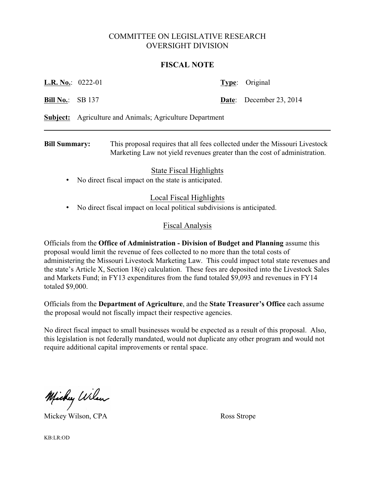## COMMITTEE ON LEGISLATIVE RESEARCH OVERSIGHT DIVISION

## **FISCAL NOTE**

| <b>Bill Summary:</b>                                            |  | This proposal requires that all fees collected under the Missouri Livestock<br>Marketing Law not yield revenues greater than the cost of administration. |  |                         |
|-----------------------------------------------------------------|--|----------------------------------------------------------------------------------------------------------------------------------------------------------|--|-------------------------|
| <b>Subject:</b> Agriculture and Animals; Agriculture Department |  |                                                                                                                                                          |  |                         |
| <b>Bill No.:</b> SB 137                                         |  |                                                                                                                                                          |  | Date: December 23, 2014 |
| <b>L.R. No.:</b> 0222-01                                        |  |                                                                                                                                                          |  | <b>Type:</b> Original   |

State Fiscal Highlights

• No direct fiscal impact on the state is anticipated.

## Local Fiscal Highlights

• No direct fiscal impact on local political subdivisions is anticipated.

## Fiscal Analysis

Officials from the **Office of Administration - Division of Budget and Planning** assume this proposal would limit the revenue of fees collected to no more than the total costs of administering the Missouri Livestock Marketing Law. This could impact total state revenues and the state's Article X, Section 18(e) calculation. These fees are deposited into the Livestock Sales and Markets Fund; in FY13 expenditures from the fund totaled \$9,093 and revenues in FY14 totaled \$9,000.

Officials from the **Department of Agriculture**, and the **State Treasurer's Office** each assume the proposal would not fiscally impact their respective agencies.

No direct fiscal impact to small businesses would be expected as a result of this proposal. Also, this legislation is not federally mandated, would not duplicate any other program and would not require additional capital improvements or rental space.

Michy Wilson

Mickey Wilson, CPA Ross Strope

KB:LR:OD